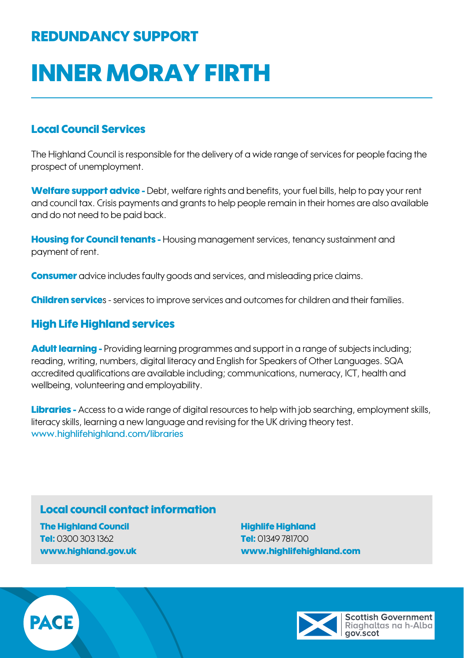## REDUNDANCY SUPPORT

# INNER MORAY FIRTH

## Local Council Services

The Highland Council is responsible for the delivery of a wide range of services for people facing the prospect of unemployment.

Welfare support advice - Debt, welfare rights and benefits, your fuel bills, help to pay your rent and council tax. Crisis payments and grants to help people remain in their homes are also available and do not need to be paid back.

**Housing for Council tenants - Housing management services, tenancy sustainment and** payment of rent.

**Consumer** advice includes faulty goods and services, and misleading price claims.

**Children service**s - services to improve services and outcomes for children and their families.

### High Life Highland services

Adult learning - Providing learning programmes and support in a range of subjects including; reading, writing, numbers, digital literacy and English for Speakers of Other Languages. SQA accredited qualifications are available including; communications, numeracy, ICT, health and wellbeing, volunteering and employability.

Libraries - Access to a wide range of digital resources to help with job searching, employment skills, literacy skills, learning a new language and revising for the UK driving theory test. www.highlifehighland.com/libraries

### Local council contact information

The Highland Council Tel: 0300 303 1362 [www.highland.gov.uk](https://www.highland.gov.uk)

Highlife Highland Tel: 01349 781700 www.highlifehighland.com